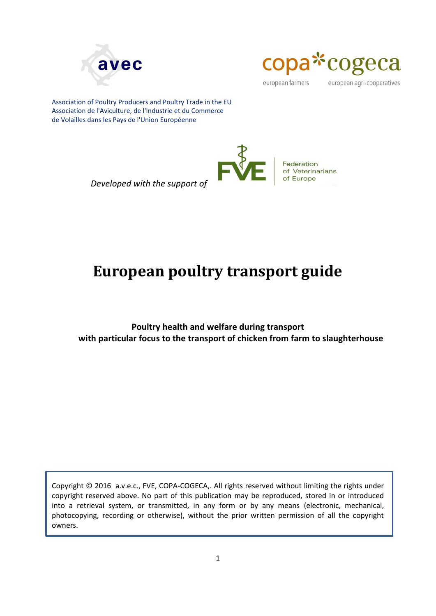



european farmers

european agri-cooperatives

Association of Poultry Producers and Poultry Trade in the EU Association de l'Aviculture, de l'Industrie et du Commerce de Volailles dans les Pays de l'Union Européenne



*Developed with the support of*

# <span id="page-0-0"></span>**European poultry transport guide**

**Poultry health and welfare during transport with particular focus to the transport of chicken from farm to slaughterhouse**

Copyright © 2016 a.v.e.c., FVE, COPA-COGECA,. All rights reserved without limiting the rights under copyright reserved above. No part of this publication may be reproduced, stored in or introduced into a retrieval system, or transmitted, in any form or by any means (electronic, mechanical, photocopying, recording or otherwise), without the prior written permission of all the copyright owners.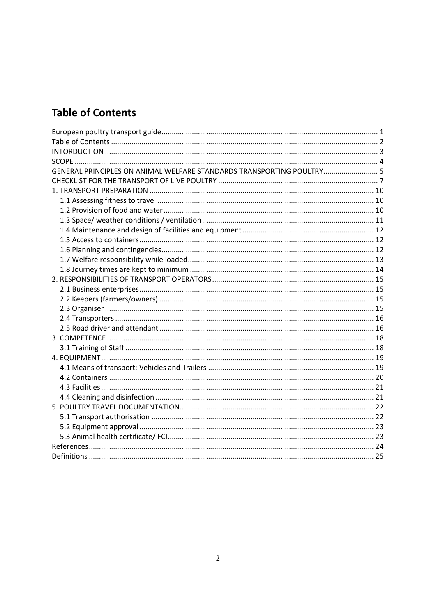# <span id="page-1-0"></span>**Table of Contents**

| GENERAL PRINCIPLES ON ANIMAL WELFARE STANDARDS TRANSPORTING POULTRY 5 |  |
|-----------------------------------------------------------------------|--|
|                                                                       |  |
|                                                                       |  |
|                                                                       |  |
|                                                                       |  |
|                                                                       |  |
|                                                                       |  |
|                                                                       |  |
|                                                                       |  |
|                                                                       |  |
|                                                                       |  |
|                                                                       |  |
|                                                                       |  |
|                                                                       |  |
|                                                                       |  |
|                                                                       |  |
|                                                                       |  |
|                                                                       |  |
|                                                                       |  |
|                                                                       |  |
|                                                                       |  |
|                                                                       |  |
|                                                                       |  |
|                                                                       |  |
|                                                                       |  |
|                                                                       |  |
|                                                                       |  |
|                                                                       |  |
|                                                                       |  |
|                                                                       |  |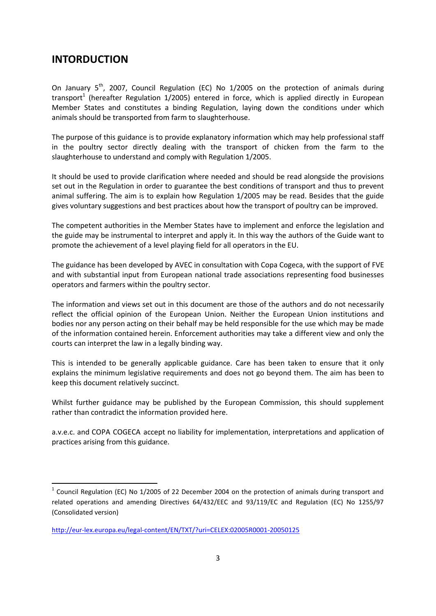### <span id="page-2-0"></span>**INTORDUCTION**

1

On January  $5<sup>th</sup>$ , 2007, Council Regulation (EC) No 1/2005 on the protection of animals during transport<sup>1</sup> (hereafter Regulation 1/2005) entered in force, which is applied directly in European Member States and constitutes a binding Regulation, laying down the conditions under which animals should be transported from farm to slaughterhouse.

The purpose of this guidance is to provide explanatory information which may help professional staff in the poultry sector directly dealing with the transport of chicken from the farm to the slaughterhouse to understand and comply with Regulation 1/2005.

It should be used to provide clarification where needed and should be read alongside the provisions set out in the Regulation in order to guarantee the best conditions of transport and thus to prevent animal suffering. The aim is to explain how Regulation 1/2005 may be read. Besides that the guide gives voluntary suggestions and best practices about how the transport of poultry can be improved.

The competent authorities in the Member States have to implement and enforce the legislation and the guide may be instrumental to interpret and apply it. In this way the authors of the Guide want to promote the achievement of a level playing field for all operators in the EU.

The guidance has been developed by AVEC in consultation with Copa Cogeca, with the support of FVE and with substantial input from European national trade associations representing food businesses operators and farmers within the poultry sector.

The information and views set out in this document are those of the authors and do not necessarily reflect the official opinion of the European Union. Neither the European Union institutions and bodies nor any person acting on their behalf may be held responsible for the use which may be made of the information contained herein. Enforcement authorities may take a different view and only the courts can interpret the law in a legally binding way.

This is intended to be generally applicable guidance. Care has been taken to ensure that it only explains the minimum legislative requirements and does not go beyond them. The aim has been to keep this document relatively succinct.

Whilst further guidance may be published by the European Commission, this should supplement rather than contradict the information provided here.

a.v.e.c. and COPA COGECA accept no liability for implementation, interpretations and application of practices arising from this guidance.

 $1$  Council Regulation (EC) No 1/2005 of 22 December 2004 on the protection of animals during transport and related operations and amending Directives 64/432/EEC and 93/119/EC and Regulation (EC) No 1255/97 (Consolidated version)

<http://eur-lex.europa.eu/legal-content/EN/TXT/?uri=CELEX:02005R0001-20050125>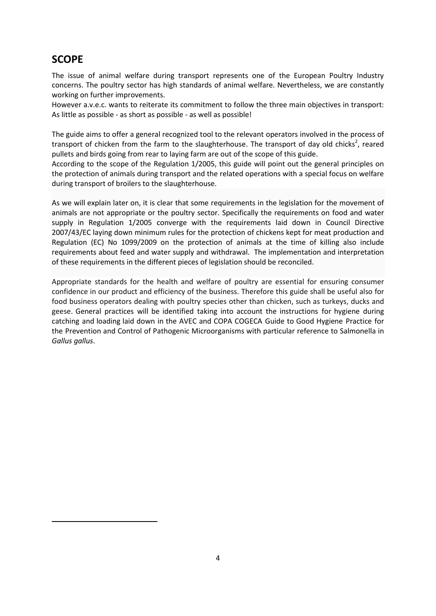## <span id="page-3-0"></span>**SCOPE**

1

The issue of animal welfare during transport represents one of the European Poultry Industry concerns. The poultry sector has high standards of animal welfare. Nevertheless, we are constantly working on further improvements.

However a.v.e.c. wants to reiterate its commitment to follow the three main objectives in transport: As little as possible - as short as possible - as well as possible!

The guide aims to offer a general recognized tool to the relevant operators involved in the process of transport of chicken from the farm to the slaughterhouse. The transport of day old chicks<sup>2</sup>, reared pullets and birds going from rear to laying farm are out of the scope of this guide.

According to the scope of the Regulation 1/2005, this guide will point out the general principles on the protection of animals during transport and the related operations with a special focus on welfare during transport of broilers to the slaughterhouse.

As we will explain later on, it is clear that some requirements in the legislation for the movement of animals are not appropriate or the poultry sector. Specifically the requirements on food and water supply in Regulation 1/2005 converge with the requirements laid down in Council Directive 2007/43/EC laying down minimum rules for the protection of chickens kept for meat production and Regulation (EC) No 1099/2009 on the protection of animals at the time of killing also include requirements about feed and water supply and withdrawal. The implementation and interpretation of these requirements in the different pieces of legislation should be reconciled.

Appropriate standards for the health and welfare of poultry are essential for ensuring consumer confidence in our product and efficiency of the business. Therefore this guide shall be useful also for food business operators dealing with poultry species other than chicken, such as turkeys, ducks and geese. General practices will be identified taking into account the instructions for hygiene during catching and loading laid down in the AVEC and COPA COGECA Guide to Good Hygiene Practice for the Prevention and Control of Pathogenic Microorganisms with particular reference to Salmonella in *Gallus gallus*.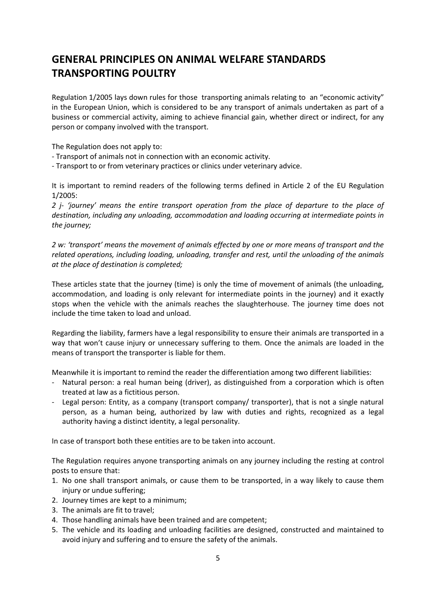# <span id="page-4-0"></span>**GENERAL PRINCIPLES ON ANIMAL WELFARE STANDARDS TRANSPORTING POULTRY**

Regulation 1/2005 lays down rules for those transporting animals relating to an "economic activity" in the European Union, which is considered to be any transport of animals undertaken as part of a business or commercial activity, aiming to achieve financial gain, whether direct or indirect, for any person or company involved with the transport.

The Regulation does not apply to:

- Transport of animals not in connection with an economic activity.
- Transport to or from veterinary practices or clinics under veterinary advice.

It is important to remind readers of the following terms defined in Article 2 of the EU Regulation 1/2005:

*2 j- 'journey' means the entire transport operation from the place of departure to the place of destination, including any unloading, accommodation and loading occurring at intermediate points in the journey;*

*2 w: 'transport' means the movement of animals effected by one or more means of transport and the related operations, including loading, unloading, transfer and rest, until the unloading of the animals at the place of destination is completed;*

These articles state that the journey (time) is only the time of movement of animals (the unloading, accommodation, and loading is only relevant for intermediate points in the journey) and it exactly stops when the vehicle with the animals reaches the slaughterhouse. The journey time does not include the time taken to load and unload.

Regarding the liability, farmers have a legal responsibility to ensure their animals are transported in a way that won't cause injury or unnecessary suffering to them. Once the animals are loaded in the means of transport the transporter is liable for them.

Meanwhile it is important to remind the reader the differentiation among two different liabilities:

- Natural person: a real human being (driver), as distinguished from a corporation which is often treated at law as a fictitious person.
- Legal person: Entity, as a company (transport company/ transporter), that is not a single natural person, as a human being, authorized by law with duties and rights, recognized as a legal authority having a distinct identity, a legal personality.

In case of transport both these entities are to be taken into account.

The Regulation requires anyone transporting animals on any journey including the resting at control posts to ensure that:

- 1. No one shall transport animals, or cause them to be transported, in a way likely to cause them injury or undue suffering;
- 2. Journey times are kept to a minimum;
- 3. The animals are fit to travel;
- 4. Those handling animals have been trained and are competent;
- 5. The vehicle and its loading and unloading facilities are designed, constructed and maintained to avoid injury and suffering and to ensure the safety of the animals.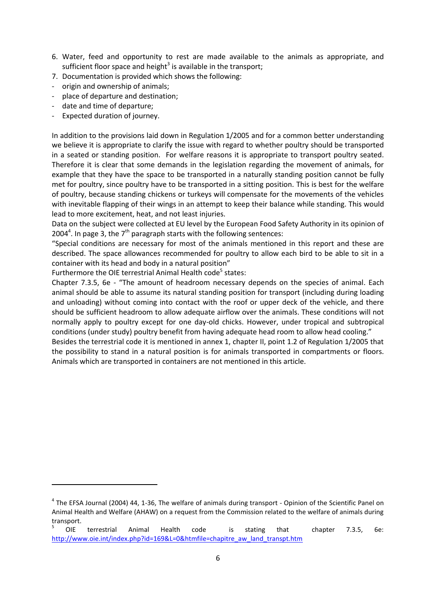- 6. Water, feed and opportunity to rest are made available to the animals as appropriate, and sufficient floor space and height<sup>3</sup> is available in the transport;
- 7. Documentation is provided which shows the following:
- origin and ownership of animals;
- place of departure and destination;
- date and time of departure;

**.** 

Expected duration of journey.

In addition to the provisions laid down in Regulation 1/2005 and for a common better understanding we believe it is appropriate to clarify the issue with regard to whether poultry should be transported in a seated or standing position. For welfare reasons it is appropriate to transport poultry seated. Therefore it is clear that some demands in the legislation regarding the movement of animals, for example that they have the space to be transported in a naturally standing position cannot be fully met for poultry, since poultry have to be transported in a sitting position. This is best for the welfare of poultry, because standing chickens or turkeys will compensate for the movements of the vehicles with inevitable flapping of their wings in an attempt to keep their balance while standing. This would lead to more excitement, heat, and not least injuries.

Data on the subject were collected at EU level by the European Food Safety Authority in its opinion of 2004<sup>4</sup>. In page 3, the  $7<sup>th</sup>$  paragraph starts with the following sentences:

"Special conditions are necessary for most of the animals mentioned in this report and these are described. The space allowances recommended for poultry to allow each bird to be able to sit in a container with its head and body in a natural position"

Furthermore the OIE terrestrial Animal Health code<sup>5</sup> states:

Chapter 7.3.5, 6e - "The amount of headroom necessary depends on the species of animal. Each animal should be able to assume its natural standing position for transport (including during loading and unloading) without coming into contact with the roof or upper deck of the vehicle, and there should be sufficient headroom to allow adequate airflow over the animals. These conditions will not normally apply to poultry except for one day-old chicks. However, under tropical and subtropical conditions (under study) poultry benefit from having adequate head room to allow head cooling." Besides the terrestrial code it is mentioned in annex 1, chapter II, point 1.2 of Regulation 1/2005 that

the possibility to stand in a natural position is for animals transported in compartments or floors. Animals which are transported in containers are not mentioned in this article.

<sup>&</sup>lt;sup>4</sup> The EFSA Journal (2004) 44, 1-36, The welfare of animals during transport - Opinion of the Scientific Panel on Animal Health and Welfare (AHAW) on a request from the Commission related to the welfare of animals during transport.

<sup>5</sup> OIE terrestrial Animal Health code is stating that chapter 7.3.5, 6e: [http://www.oie.int/index.php?id=169&L=0&htmfile=chapitre\\_aw\\_land\\_transpt.htm](http://www.oie.int/index.php?id=169&L=0&htmfile=chapitre_aw_land_transpt.htm)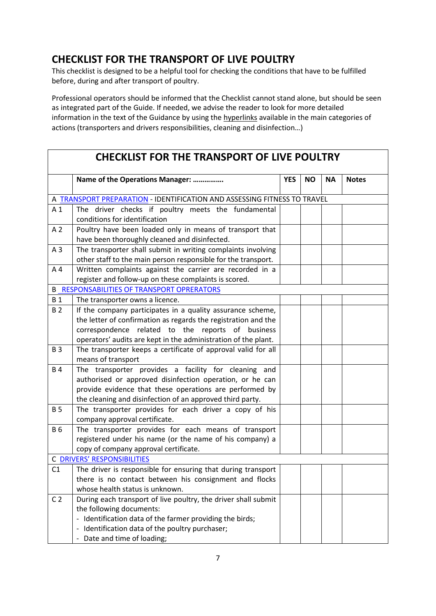# <span id="page-6-0"></span>**CHECKLIST FOR THE TRANSPORT OF LIVE POULTRY**

This checklist is designed to be a helpful tool for checking the conditions that have to be fulfilled before, during and after transport of poultry.

Professional operators should be informed that the Checklist cannot stand alone, but should be seen as integrated part of the Guide. If needed, we advise the reader to look for more detailed information in the text of the Guidance by using the hyperlinks available in the main categories of actions (transporters and drivers responsibilities, cleaning and disinfection…)

| <b>CHECKLIST FOR THE TRANSPORT OF LIVE POULTRY</b> |                                                                                                                               |            |           |           |              |
|----------------------------------------------------|-------------------------------------------------------------------------------------------------------------------------------|------------|-----------|-----------|--------------|
|                                                    | Name of the Operations Manager:                                                                                               | <b>YES</b> | <b>NO</b> | <b>NA</b> | <b>Notes</b> |
|                                                    | A TRANSPORT PREPARATION - IDENTIFICATION AND ASSESSING FITNESS TO TRAVEL                                                      |            |           |           |              |
| A <sub>1</sub>                                     | The driver checks if poultry meets the fundamental<br>conditions for identification                                           |            |           |           |              |
| A <sub>2</sub>                                     | Poultry have been loaded only in means of transport that<br>have been thoroughly cleaned and disinfected.                     |            |           |           |              |
| A <sub>3</sub>                                     | The transporter shall submit in writing complaints involving<br>other staff to the main person responsible for the transport. |            |           |           |              |
| A <sub>4</sub>                                     | Written complaints against the carrier are recorded in a<br>register and follow-up on these complaints is scored.             |            |           |           |              |
|                                                    | <b>B_RESPONSABILITIES OF TRANSPORT OPRERATORS</b>                                                                             |            |           |           |              |
| <b>B</b> 1                                         | The transporter owns a licence.                                                                                               |            |           |           |              |
| <b>B2</b>                                          | If the company participates in a quality assurance scheme,                                                                    |            |           |           |              |
|                                                    | the letter of confirmation as regards the registration and the                                                                |            |           |           |              |
|                                                    | correspondence related to the reports of business                                                                             |            |           |           |              |
|                                                    | operators' audits are kept in the administration of the plant.                                                                |            |           |           |              |
| <b>B3</b>                                          | The transporter keeps a certificate of approval valid for all<br>means of transport                                           |            |           |           |              |
| <b>B4</b>                                          | The transporter provides a facility for cleaning and                                                                          |            |           |           |              |
|                                                    | authorised or approved disinfection operation, or he can                                                                      |            |           |           |              |
|                                                    | provide evidence that these operations are performed by                                                                       |            |           |           |              |
| <b>B5</b>                                          | the cleaning and disinfection of an approved third party.                                                                     |            |           |           |              |
|                                                    | The transporter provides for each driver a copy of his<br>company approval certificate.                                       |            |           |           |              |
| <b>B6</b>                                          | The transporter provides for each means of transport                                                                          |            |           |           |              |
|                                                    | registered under his name (or the name of his company) a                                                                      |            |           |           |              |
|                                                    | copy of company approval certificate.                                                                                         |            |           |           |              |
|                                                    | <b>C DRIVERS' RESPONSIBILITIES</b>                                                                                            |            |           |           |              |
| C1                                                 | The driver is responsible for ensuring that during transport                                                                  |            |           |           |              |
|                                                    | there is no contact between his consignment and flocks                                                                        |            |           |           |              |
|                                                    | whose health status is unknown.                                                                                               |            |           |           |              |
| C <sub>2</sub>                                     | During each transport of live poultry, the driver shall submit                                                                |            |           |           |              |
|                                                    | the following documents:                                                                                                      |            |           |           |              |
|                                                    | - Identification data of the farmer providing the birds;                                                                      |            |           |           |              |
|                                                    | Identification data of the poultry purchaser;                                                                                 |            |           |           |              |
|                                                    | Date and time of loading;                                                                                                     |            |           |           |              |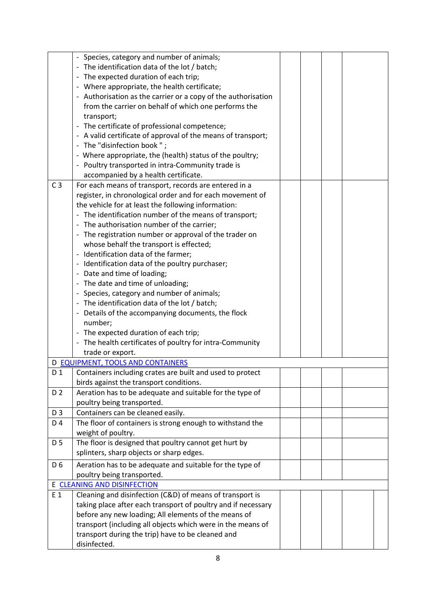|                                               | - Species, category and number of animals;                    |  |  |  |
|-----------------------------------------------|---------------------------------------------------------------|--|--|--|
|                                               | - The identification data of the lot / batch;                 |  |  |  |
|                                               | - The expected duration of each trip;                         |  |  |  |
|                                               | - Where appropriate, the health certificate;                  |  |  |  |
|                                               | - Authorisation as the carrier or a copy of the authorisation |  |  |  |
|                                               |                                                               |  |  |  |
|                                               | from the carrier on behalf of which one performs the          |  |  |  |
|                                               | transport;                                                    |  |  |  |
| - The certificate of professional competence; |                                                               |  |  |  |
|                                               | - A valid certificate of approval of the means of transport;  |  |  |  |
|                                               | - The "disinfection book";                                    |  |  |  |
|                                               | - Where appropriate, the (health) status of the poultry;      |  |  |  |
|                                               | - Poultry transported in intra-Community trade is             |  |  |  |
|                                               | accompanied by a health certificate.                          |  |  |  |
| C <sub>3</sub>                                | For each means of transport, records are entered in a         |  |  |  |
|                                               | register, in chronological order and for each movement of     |  |  |  |
|                                               | the vehicle for at least the following information:           |  |  |  |
|                                               | - The identification number of the means of transport;        |  |  |  |
|                                               | - The authorisation number of the carrier;                    |  |  |  |
|                                               | - The registration number or approval of the trader on        |  |  |  |
|                                               | whose behalf the transport is effected;                       |  |  |  |
|                                               | - Identification data of the farmer;                          |  |  |  |
|                                               | - Identification data of the poultry purchaser;               |  |  |  |
|                                               | - Date and time of loading;                                   |  |  |  |
|                                               | - The date and time of unloading;                             |  |  |  |
|                                               | - Species, category and number of animals;                    |  |  |  |
|                                               | - The identification data of the lot / batch;                 |  |  |  |
|                                               | - Details of the accompanying documents, the flock            |  |  |  |
|                                               | number;                                                       |  |  |  |
|                                               | - The expected duration of each trip;                         |  |  |  |
|                                               | - The health certificates of poultry for intra-Community      |  |  |  |
|                                               | trade or export.                                              |  |  |  |
|                                               | D EQUIPMENT, TOOLS AND CONTAINERS                             |  |  |  |
| D <sub>1</sub>                                | Containers including crates are built and used to protect     |  |  |  |
|                                               | birds against the transport conditions.                       |  |  |  |
| D <sub>2</sub>                                | Aeration has to be adequate and suitable for the type of      |  |  |  |
|                                               | poultry being transported.                                    |  |  |  |
| D 3                                           | Containers can be cleaned easily.                             |  |  |  |
| D 4                                           | The floor of containers is strong enough to withstand the     |  |  |  |
|                                               | weight of poultry.                                            |  |  |  |
| D 5                                           | The floor is designed that poultry cannot get hurt by         |  |  |  |
|                                               | splinters, sharp objects or sharp edges.                      |  |  |  |
|                                               |                                                               |  |  |  |
| D <sub>6</sub>                                | Aeration has to be adequate and suitable for the type of      |  |  |  |
|                                               | poultry being transported.                                    |  |  |  |
|                                               | E CLEANING AND DISINFECTION                                   |  |  |  |
| E 1                                           | Cleaning and disinfection (C&D) of means of transport is      |  |  |  |
|                                               | taking place after each transport of poultry and if necessary |  |  |  |
|                                               | before any new loading; All elements of the means of          |  |  |  |
|                                               | transport (including all objects which were in the means of   |  |  |  |
|                                               | transport during the trip) have to be cleaned and             |  |  |  |
|                                               | disinfected.                                                  |  |  |  |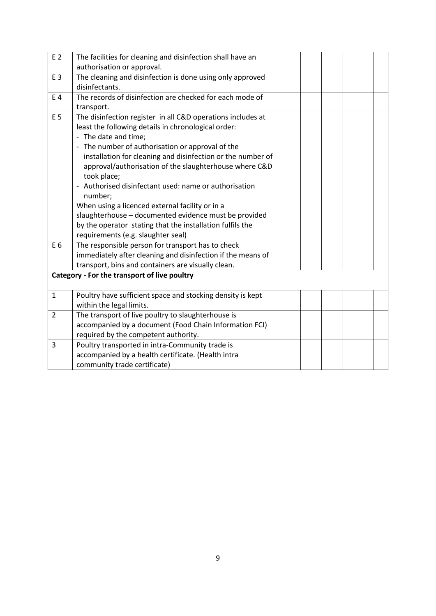| E 2            | The facilities for cleaning and disinfection shall have an  |  |  |  |
|----------------|-------------------------------------------------------------|--|--|--|
|                | authorisation or approval.                                  |  |  |  |
| E 3            | The cleaning and disinfection is done using only approved   |  |  |  |
|                | disinfectants.                                              |  |  |  |
| E 4            | The records of disinfection are checked for each mode of    |  |  |  |
|                | transport.                                                  |  |  |  |
| E 5            | The disinfection register in all C&D operations includes at |  |  |  |
|                | least the following details in chronological order:         |  |  |  |
|                | - The date and time;                                        |  |  |  |
|                | - The number of authorisation or approval of the            |  |  |  |
|                | installation for cleaning and disinfection or the number of |  |  |  |
|                | approval/authorisation of the slaughterhouse where C&D      |  |  |  |
|                | took place;                                                 |  |  |  |
|                | Authorised disinfectant used: name or authorisation         |  |  |  |
|                | number;                                                     |  |  |  |
|                | When using a licenced external facility or in a             |  |  |  |
|                | slaughterhouse - documented evidence must be provided       |  |  |  |
|                | by the operator stating that the installation fulfils the   |  |  |  |
|                | requirements (e.g. slaughter seal)                          |  |  |  |
| E 6            | The responsible person for transport has to check           |  |  |  |
|                | immediately after cleaning and disinfection if the means of |  |  |  |
|                | transport, bins and containers are visually clean.          |  |  |  |
|                | Category - For the transport of live poultry                |  |  |  |
|                |                                                             |  |  |  |
| $\mathbf{1}$   | Poultry have sufficient space and stocking density is kept  |  |  |  |
|                | within the legal limits.                                    |  |  |  |
| $\overline{2}$ | The transport of live poultry to slaughterhouse is          |  |  |  |
|                | accompanied by a document (Food Chain Information FCI)      |  |  |  |
|                | required by the competent authority.                        |  |  |  |
| 3              | Poultry transported in intra-Community trade is             |  |  |  |
|                | accompanied by a health certificate. (Health intra          |  |  |  |
|                | community trade certificate)                                |  |  |  |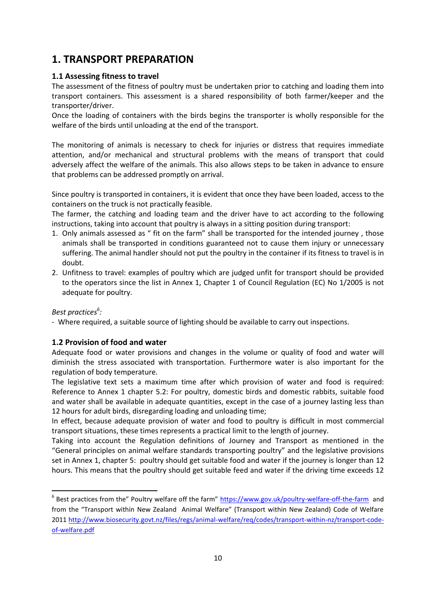### <span id="page-9-0"></span>**1. TRANSPORT PREPARATION**

#### <span id="page-9-1"></span>**1.1 Assessing fitness to travel**

The assessment of the fitness of poultry must be undertaken prior to catching and loading them into transport containers. This assessment is a shared responsibility of both farmer/keeper and the transporter/driver.

Once the loading of containers with the birds begins the transporter is wholly responsible for the welfare of the birds until unloading at the end of the transport.

The monitoring of animals is necessary to check for injuries or distress that requires immediate attention, and/or mechanical and structural problems with the means of transport that could adversely affect the welfare of the animals. This also allows steps to be taken in advance to ensure that problems can be addressed promptly on arrival.

Since poultry is transported in containers, it is evident that once they have been loaded, access to the containers on the truck is not practically feasible.

The farmer, the catching and loading team and the driver have to act according to the following instructions, taking into account that poultry is always in a sitting position during transport:

- 1. Only animals assessed as " fit on the farm" shall be transported for the intended journey , those animals shall be transported in conditions guaranteed not to cause them injury or unnecessary suffering. The animal handler should not put the poultry in the container if its fitness to travel is in doubt.
- 2. Unfitness to travel: examples of poultry which are judged unfit for transport should be provided to the operators since the list in Annex 1, Chapter 1 of Council Regulation (EC) No 1/2005 is not adequate for poultry.

#### *Best practices<sup>6</sup> :*

**.** 

- Where required, a suitable source of lighting should be available to carry out inspections.

#### <span id="page-9-2"></span>**1.2 Provision of food and water**

Adequate food or water provisions and changes in the volume or quality of food and water will diminish the stress associated with transportation. Furthermore water is also important for the regulation of body temperature.

The legislative text sets a maximum time after which provision of water and food is required: Reference to Annex 1 chapter 5.2: For poultry, domestic birds and domestic rabbits, suitable food and water shall be available in adequate quantities, except in the case of a journey lasting less than 12 hours for adult birds, disregarding loading and unloading time;

In effect, because adequate provision of water and food to poultry is difficult in most commercial transport situations, these times represents a practical limit to the length of journey.

Taking into account the Regulation definitions of Journey and Transport as mentioned in the "General principles on animal welfare standards transporting poultry" and the legislative provisions set in Annex 1, chapter 5: poultry should get suitable food and water if the journey is longer than 12 hours. This means that the poultry should get suitable feed and water if the driving time exceeds 12

<sup>&</sup>lt;sup>6</sup> Best practices from the" Poultry welfare off the farm" <https://www.gov.uk/poultry-welfare-off-the-farm>and from the "Transport within New Zealand Animal Welfare" (Transport within New Zealand) Code of Welfare 2011 [http://www.biosecurity.govt.nz/files/regs/animal-welfare/req/codes/transport-within-nz/transport-code](http://www.biosecurity.govt.nz/files/regs/animal-welfare/req/codes/transport-within-nz/transport-code-of-welfare.pdf)[of-welfare.pdf](http://www.biosecurity.govt.nz/files/regs/animal-welfare/req/codes/transport-within-nz/transport-code-of-welfare.pdf)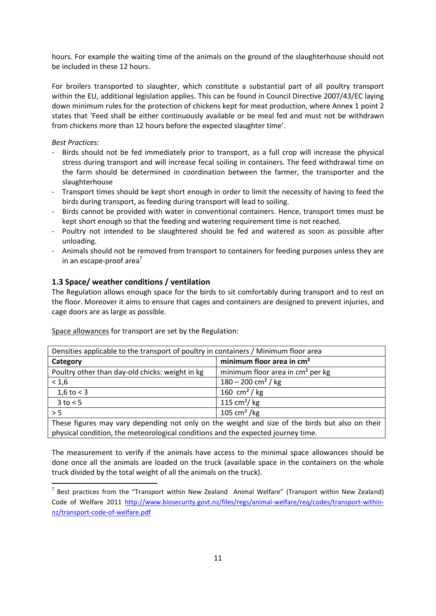hours. For example the waiting time of the animals on the ground of the slaughterhouse should not be included in these 12 hours.

For broilers transported to slaughter, which constitute a substantial part of all poultry transport within the EU, additional legislation applies. This can be found in Council Directive 2007/43/EC laying down minimum rules for the protection of chickens kept for meat production, where Annex 1 point 2 states that 'Feed shall be either continuously available or be meal fed and must not be withdrawn from chickens more than 12 hours before the expected slaughter time'.

*Best Practices:*

1

- Birds should not be fed immediately prior to transport, as a full crop will increase the physical stress during transport and will increase fecal soiling in containers. The feed withdrawal time on the farm should be determined in coordination between the farmer, the transporter and the slaughterhouse
- Transport times should be kept short enough in order to limit the necessity of having to feed the birds during transport, as feeding during transport will lead to soiling.
- Birds cannot be provided with water in conventional containers. Hence, transport times must be kept short enough so that the feeding and watering requirement time is not reached.
- Poultry not intended to be slaughtered should be fed and watered as soon as possible after unloading.
- Animals should not be removed from transport to containers for feeding purposes unless they are in an escape-proof area $<sup>7</sup>$ </sup>

#### <span id="page-10-0"></span>**1.3 Space/ weather conditions / ventilation**

The Regulation allows enough space for the birds to sit comfortably during transport and to rest on the floor. Moreover it aims to ensure that cages and containers are designed to prevent injuries, and cage doors are as large as possible.

| Densities applicable to the transport of poultry in containers / Minimum floor area             |                                              |  |
|-------------------------------------------------------------------------------------------------|----------------------------------------------|--|
| Category                                                                                        | minimum floor area in cm <sup>2</sup>        |  |
| Poultry other than day-old chicks: weight in kg                                                 | minimum floor area in cm <sup>2</sup> per kg |  |
| < 1,6                                                                                           | $180 - 200$ cm <sup>2</sup> / kg             |  |
| 1,6 to $<$ 3                                                                                    | 160 cm <sup>2</sup> / kg                     |  |
| $3$ to $< 5$                                                                                    | 115 cm <sup>2</sup> / $kg$                   |  |
| > 5                                                                                             | 105 cm <sup>2</sup> /kg                      |  |
| These figures may vary depending not only on the weight and size of the birds but also on their |                                              |  |

Space allowances for transport are set by the Regulation:

physical condition, the meteorological conditions and the expected journey time.

The measurement to verify if the animals have access to the minimal space allowances should be done once all the animals are loaded on the truck (available space in the containers on the whole truck divided by the total weight of all the animals on the truck).

 $<sup>7</sup>$  Best practices from the "Transport within New Zealand Animal Welfare" (Transport within New Zealand)</sup> Code of Welfare 2011 [http://www.biosecurity.govt.nz/files/regs/animal-welfare/req/codes/transport-within](http://www.biosecurity.govt.nz/files/regs/animal-welfare/req/codes/transport-within-nz/transport-code-of-welfare.pdf)[nz/transport-code-of-welfare.pdf](http://www.biosecurity.govt.nz/files/regs/animal-welfare/req/codes/transport-within-nz/transport-code-of-welfare.pdf)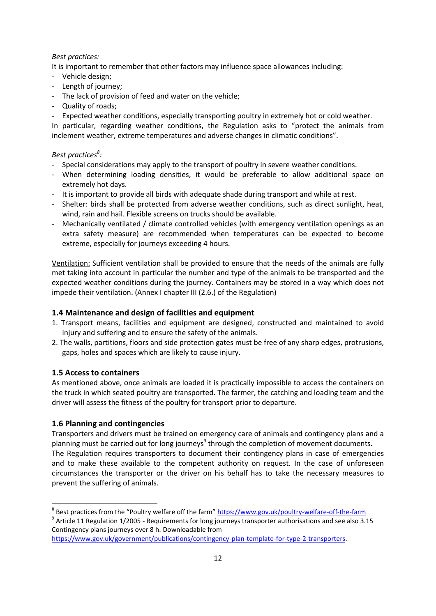#### *Best practices:*

It is important to remember that other factors may influence space allowances including:

- Vehicle design;
- Length of journey;
- The lack of provision of feed and water on the vehicle;
- Quality of roads;
- Expected weather conditions, especially transporting poultry in extremely hot or cold weather.

In particular, regarding weather conditions, the Regulation asks to "protect the animals from inclement weather, extreme temperatures and adverse changes in climatic conditions".

#### *Best practices<sup>8</sup> :*

- Special considerations may apply to the transport of poultry in severe weather conditions.
- When determining loading densities, it would be preferable to allow additional space on extremely hot days.
- It is important to provide all birds with adequate shade during transport and while at rest.
- Shelter: birds shall be protected from adverse weather conditions, such as direct sunlight, heat, wind, rain and hail. Flexible screens on trucks should be available.
- Mechanically ventilated / climate controlled vehicles (with emergency ventilation openings as an extra safety measure) are recommended when temperatures can be expected to become extreme, especially for journeys exceeding 4 hours.

Ventilation: Sufficient ventilation shall be provided to ensure that the needs of the animals are fully met taking into account in particular the number and type of the animals to be transported and the expected weather conditions during the journey. Containers may be stored in a way which does not impede their ventilation. (Annex I chapter III (2.6.) of the Regulation)

#### <span id="page-11-0"></span>**1.4 Maintenance and design of facilities and equipment**

- 1. Transport means, facilities and equipment are designed, constructed and maintained to avoid injury and suffering and to ensure the safety of the animals.
- 2. The walls, partitions, floors and side protection gates must be free of any sharp edges, protrusions, gaps, holes and spaces which are likely to cause injury.

#### <span id="page-11-1"></span>**1.5 Access to containers**

As mentioned above, once animals are loaded it is practically impossible to access the containers on the truck in which seated poultry are transported. The farmer, the catching and loading team and the driver will assess the fitness of the poultry for transport prior to departure.

#### <span id="page-11-2"></span>**1.6 Planning and contingencies**

Transporters and drivers must be trained on emergency care of animals and contingency plans and a planning must be carried out for long journeys<sup>9</sup> through the completion of movement documents. The Regulation requires transporters to document their contingency plans in case of emergencies and to make these available to the competent authority on request. In the case of unforeseen circumstances the transporter or the driver on his behalf has to take the necessary measures to prevent the suffering of animals.

<sup>1</sup> <sup>8</sup> Best practices from the "Poultry welfare off the farm" https://www.gov.uk/poultry-welfare-off-the-farm

<sup>&</sup>lt;sup>9</sup> Article 11 Regulation 1/2005 - Requirements for long journeys transporter authorisations and see also 3.15 Contingency plans journeys over 8 h. Downloadable from

[https://www.gov.uk/government/publications/contingency-plan-template-for-type-2-transporters.](https://www.gov.uk/government/publications/contingency-plan-template-for-type-2-transporters)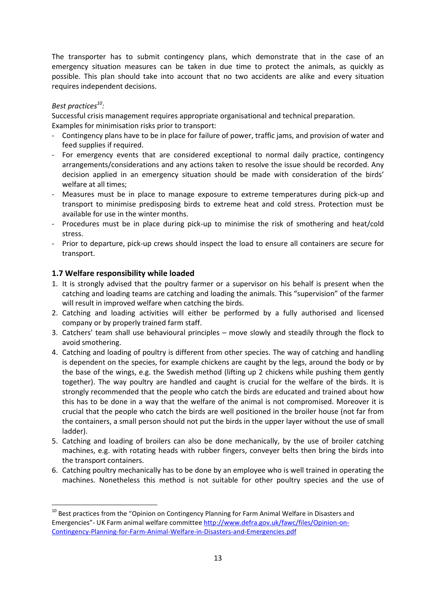The transporter has to submit contingency plans, which demonstrate that in the case of an emergency situation measures can be taken in due time to protect the animals, as quickly as possible. This plan should take into account that no two accidents are alike and every situation requires independent decisions.

#### *Best practices<sup>10</sup> :*

**.** 

Successful crisis management requires appropriate organisational and technical preparation. Examples for minimisation risks prior to transport:

- Contingency plans have to be in place for failure of power, traffic jams, and provision of water and feed supplies if required.
- For emergency events that are considered exceptional to normal daily practice, contingency arrangements/considerations and any actions taken to resolve the issue should be recorded. Any decision applied in an emergency situation should be made with consideration of the birds' welfare at all times;
- Measures must be in place to manage exposure to extreme temperatures during pick-up and transport to minimise predisposing birds to extreme heat and cold stress. Protection must be available for use in the winter months.
- Procedures must be in place during pick-up to minimise the risk of smothering and heat/cold stress.
- Prior to departure, pick-up crews should inspect the load to ensure all containers are secure for transport.

#### <span id="page-12-0"></span>**1.7 Welfare responsibility while loaded**

- 1. It is strongly advised that the poultry farmer or a supervisor on his behalf is present when the catching and loading teams are catching and loading the animals. This "supervision" of the farmer will result in improved welfare when catching the birds.
- 2. Catching and loading activities will either be performed by a fully authorised and licensed company or by properly trained farm staff.
- 3. Catchers' team shall use behavioural principles move slowly and steadily through the flock to avoid smothering.
- 4. Catching and loading of poultry is different from other species. The way of catching and handling is dependent on the species, for example chickens are caught by the legs, around the body or by the base of the wings, e.g. the Swedish method (lifting up 2 chickens while pushing them gently together). The way poultry are handled and caught is crucial for the welfare of the birds. It is strongly recommended that the people who catch the birds are educated and trained about how this has to be done in a way that the welfare of the animal is not compromised. Moreover it is crucial that the people who catch the birds are well positioned in the broiler house (not far from the containers, a small person should not put the birds in the upper layer without the use of small ladder).
- 5. Catching and loading of broilers can also be done mechanically, by the use of broiler catching machines, e.g. with rotating heads with rubber fingers, conveyer belts then bring the birds into the transport containers.
- 6. Catching poultry mechanically has to be done by an employee who is well trained in operating the machines. Nonetheless this method is not suitable for other poultry species and the use of

<sup>&</sup>lt;sup>10</sup> Best practices from the "Opinion on Contingency Planning for Farm Animal Welfare in Disasters and Emergencies"- UK Farm animal welfare committe[e http://www.defra.gov.uk/fawc/files/Opinion-on-](http://www.defra.gov.uk/fawc/files/Opinion-on-Contingency-Planning-for-Farm-Animal-Welfare-in-Disasters-and-Emergencies.pdf)[Contingency-Planning-for-Farm-Animal-Welfare-in-Disasters-and-Emergencies.pdf](http://www.defra.gov.uk/fawc/files/Opinion-on-Contingency-Planning-for-Farm-Animal-Welfare-in-Disasters-and-Emergencies.pdf)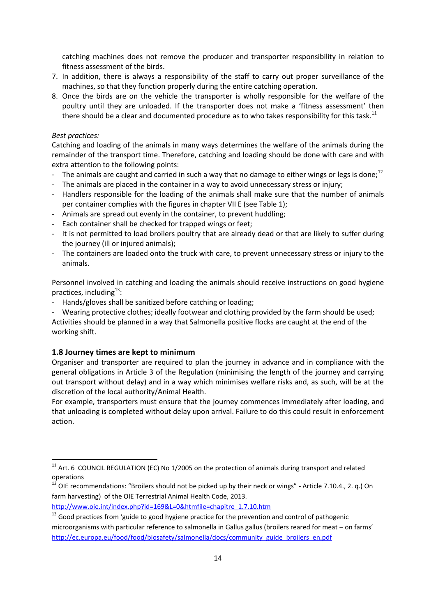catching machines does not remove the producer and transporter responsibility in relation to fitness assessment of the birds.

- 7. In addition, there is always a responsibility of the staff to carry out proper surveillance of the machines, so that they function properly during the entire catching operation.
- 8. Once the birds are on the vehicle the transporter is wholly responsible for the welfare of the poultry until they are unloaded. If the transporter does not make a 'fitness assessment' then there should be a clear and documented procedure as to who takes responsibility for this task.<sup>11</sup>

#### *Best practices:*

**.** 

Catching and loading of the animals in many ways determines the welfare of the animals during the remainder of the transport time. Therefore, catching and loading should be done with care and with extra attention to the following points:

- The animals are caught and carried in such a way that no damage to either wings or legs is done;<sup>12</sup>
- The animals are placed in the container in a way to avoid unnecessary stress or injury;
- Handlers responsible for the loading of the animals shall make sure that the number of animals per container complies with the figures in chapter VII E (see Table 1);
- Animals are spread out evenly in the container, to prevent huddling;
- Each container shall be checked for trapped wings or feet;
- It is not permitted to load broilers poultry that are already dead or that are likely to suffer during the journey (ill or injured animals);
- The containers are loaded onto the truck with care, to prevent unnecessary stress or injury to the animals.

Personnel involved in catching and loading the animals should receive instructions on good hygiene practices, including<sup>13</sup>:

- Hands/gloves shall be sanitized before catching or loading;

Wearing protective clothes; ideally footwear and clothing provided by the farm should be used; Activities should be planned in a way that Salmonella positive flocks are caught at the end of the working shift.

#### <span id="page-13-0"></span>**1.8 Journey times are kept to minimum**

Organiser and transporter are required to plan the journey in advance and in compliance with the general obligations in Article 3 of the Regulation (minimising the length of the journey and carrying out transport without delay) and in a way which minimises welfare risks and, as such, will be at the discretion of the local authority/Animal Health.

For example, transporters must ensure that the journey commences immediately after loading, and that unloading is completed without delay upon arrival. Failure to do this could result in enforcement action.

 $11$  Art. 6 COUNCIL REGULATION (EC) No 1/2005 on the protection of animals during transport and related operations

 $12$  OIE recommendations: "Broilers should not be picked up by their neck or wings" - Article 7.10.4., 2. q.( On farm harvesting) of the OIE Terrestrial Animal Health Code, 2013.

[http://www.oie.int/index.php?id=169&L=0&htmfile=chapitre\\_1.7.10.htm](http://www.oie.int/index.php?id=169&L=0&htmfile=chapitre_1.7.10.htm) 

<sup>&</sup>lt;sup>13</sup> Good practices from 'guide to good hygiene practice for the prevention and control of pathogenic microorganisms with particular reference to salmonella in Gallus gallus (broilers reared for meat – on farms' [http://ec.europa.eu/food/food/biosafety/salmonella/docs/community\\_guide\\_broilers\\_en.pdf](http://ec.europa.eu/food/food/biosafety/salmonella/docs/community_guide_broilers_en.pdf)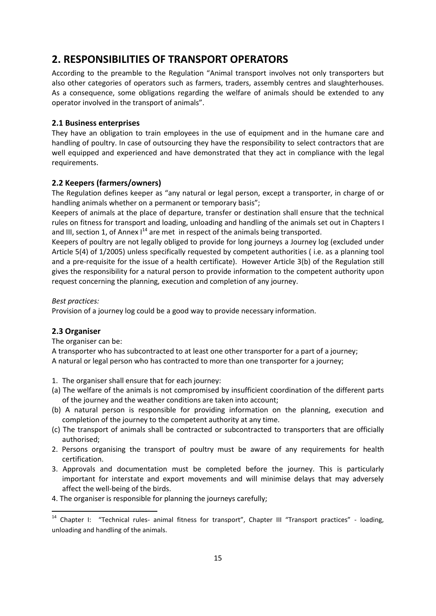### <span id="page-14-0"></span>**2. RESPONSIBILITIES OF TRANSPORT OPERATORS**

According to the preamble to the Regulation "Animal transport involves not only transporters but also other categories of operators such as farmers, traders, assembly centres and slaughterhouses. As a consequence, some obligations regarding the welfare of animals should be extended to any operator involved in the transport of animals".

#### <span id="page-14-1"></span>**2.1 Business enterprises**

They have an obligation to train employees in the use of equipment and in the humane care and handling of poultry. In case of outsourcing they have the responsibility to select contractors that are well equipped and experienced and have demonstrated that they act in compliance with the legal requirements.

#### <span id="page-14-2"></span>**2.2 Keepers (farmers/owners)**

The Regulation defines keeper as "any natural or legal person, except a transporter, in charge of or handling animals whether on a permanent or temporary basis";

Keepers of animals at the place of departure, transfer or destination shall ensure that the technical rules on fitness for transport and loading, unloading and handling of the animals set out in Chapters I and III, section 1, of Annex  $I^{14}$  are met in respect of the animals being transported.

Keepers of poultry are not legally obliged to provide for long journeys a Journey log (excluded under Article 5(4) of 1/2005) unless specifically requested by competent authorities ( i.e. as a planning tool and a pre-requisite for the issue of a health certificate). However Article 3(b) of the Regulation still gives the responsibility for a natural person to provide information to the competent authority upon request concerning the planning, execution and completion of any journey.

#### *Best practices:*

Provision of a journey log could be a good way to provide necessary information.

#### <span id="page-14-3"></span>**2.3 Organiser**

**.** 

The organiser can be:

A transporter who has subcontracted to at least one other transporter for a part of a journey; A natural or legal person who has contracted to more than one transporter for a journey;

- 1. The organiser shall ensure that for each journey:
- (a) The welfare of the animals is not compromised by insufficient coordination of the different parts of the journey and the weather conditions are taken into account;
- (b) A natural person is responsible for providing information on the planning, execution and completion of the journey to the competent authority at any time.
- (c) The transport of animals shall be contracted or subcontracted to transporters that are officially authorised;
- 2. Persons organising the transport of poultry must be aware of any requirements for health certification.
- 3. Approvals and documentation must be completed before the journey. This is particularly important for interstate and export movements and will minimise delays that may adversely affect the well-being of the birds.
- 4. The organiser is responsible for planning the journeys carefully;

<sup>&</sup>lt;sup>14</sup> Chapter I: "Technical rules- animal fitness for transport", Chapter III "Transport practices" - loading, unloading and handling of the animals.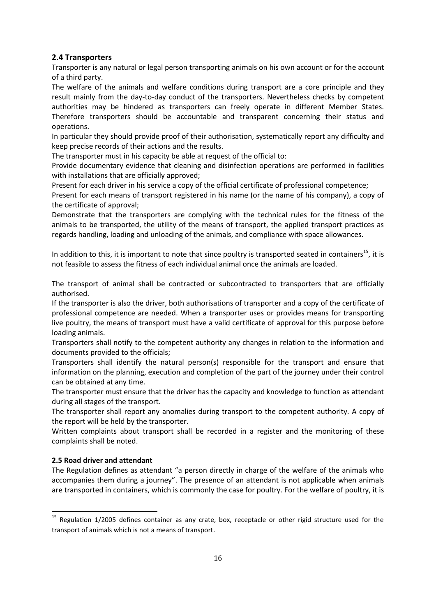#### <span id="page-15-0"></span>**2.4 Transporters**

Transporter is any natural or legal person transporting animals on his own account or for the account of a third party.

The welfare of the animals and welfare conditions during transport are a core principle and they result mainly from the day-to-day conduct of the transporters. Nevertheless checks by competent authorities may be hindered as transporters can freely operate in different Member States. Therefore transporters should be accountable and transparent concerning their status and operations.

In particular they should provide proof of their authorisation, systematically report any difficulty and keep precise records of their actions and the results.

The transporter must in his capacity be able at request of the official to:

Provide documentary evidence that cleaning and disinfection operations are performed in facilities with installations that are officially approved;

Present for each driver in his service a copy of the official certificate of professional competence;

Present for each means of transport registered in his name (or the name of his company), a copy of the certificate of approval;

Demonstrate that the transporters are complying with the technical rules for the fitness of the animals to be transported, the utility of the means of transport, the applied transport practices as regards handling, loading and unloading of the animals, and compliance with space allowances.

In addition to this, it is important to note that since poultry is transported seated in containers<sup>15</sup>, it is not feasible to assess the fitness of each individual animal once the animals are loaded.

The transport of animal shall be contracted or subcontracted to transporters that are officially authorised.

If the transporter is also the driver, both authorisations of transporter and a copy of the certificate of professional competence are needed. When a transporter uses or provides means for transporting live poultry, the means of transport must have a valid certificate of approval for this purpose before loading animals.

Transporters shall notify to the competent authority any changes in relation to the information and documents provided to the officials;

Transporters shall identify the natural person(s) responsible for the transport and ensure that information on the planning, execution and completion of the part of the journey under their control can be obtained at any time.

The transporter must ensure that the driver has the capacity and knowledge to function as attendant during all stages of the transport.

The transporter shall report any anomalies during transport to the competent authority. A copy of the report will be held by the transporter.

Written complaints about transport shall be recorded in a register and the monitoring of these complaints shall be noted.

#### <span id="page-15-1"></span>**2.5 Road driver and attendant**

**.** 

The Regulation defines as attendant "a person directly in charge of the welfare of the animals who accompanies them during a journey". The presence of an attendant is not applicable when animals are transported in containers, which is commonly the case for poultry. For the welfare of poultry, it is

<sup>&</sup>lt;sup>15</sup> Regulation 1/2005 defines container as any crate, box, receptacle or other rigid structure used for the transport of animals which is not a means of transport.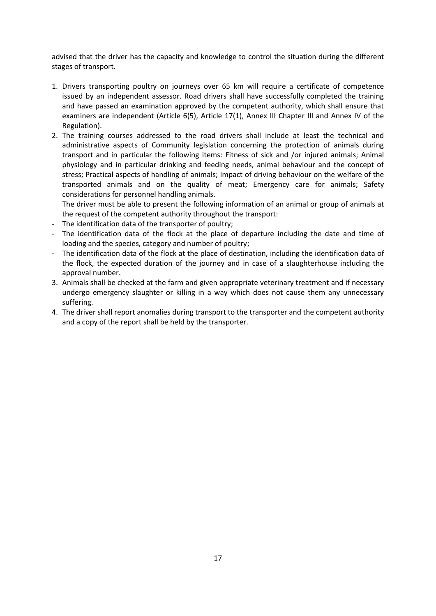advised that the driver has the capacity and knowledge to control the situation during the different stages of transport.

- 1. Drivers transporting poultry on journeys over 65 km will require a certificate of competence issued by an independent assessor. Road drivers shall have successfully completed the training and have passed an examination approved by the competent authority, which shall ensure that examiners are independent (Article 6(5), Article 17(1), Annex III Chapter III and Annex IV of the Regulation).
- 2. The training courses addressed to the road drivers shall include at least the technical and administrative aspects of Community legislation concerning the protection of animals during transport and in particular the following items: Fitness of sick and /or injured animals; Animal physiology and in particular drinking and feeding needs, animal behaviour and the concept of stress; Practical aspects of handling of animals; Impact of driving behaviour on the welfare of the transported animals and on the quality of meat; Emergency care for animals; Safety considerations for personnel handling animals.

The driver must be able to present the following information of an animal or group of animals at the request of the competent authority throughout the transport:

- The identification data of the transporter of poultry;
- The identification data of the flock at the place of departure including the date and time of loading and the species, category and number of poultry;
- The identification data of the flock at the place of destination, including the identification data of the flock, the expected duration of the journey and in case of a slaughterhouse including the approval number.
- 3. Animals shall be checked at the farm and given appropriate veterinary treatment and if necessary undergo emergency slaughter or killing in a way which does not cause them any unnecessary suffering.
- 4. The driver shall report anomalies during transport to the transporter and the competent authority and a copy of the report shall be held by the transporter.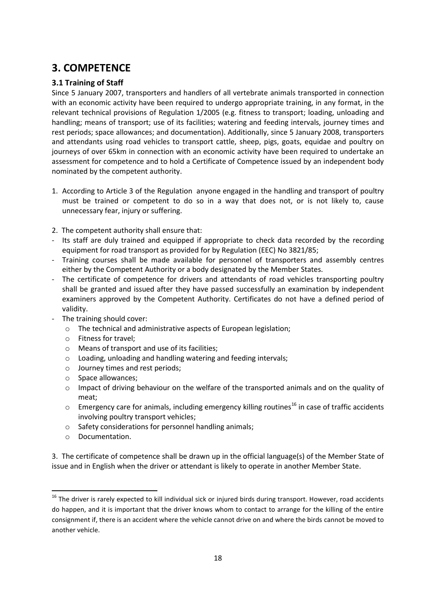# <span id="page-17-0"></span>**3. COMPETENCE**

#### <span id="page-17-1"></span>**3.1 Training of Staff**

Since 5 January 2007, transporters and handlers of all vertebrate animals transported in connection with an economic activity have been required to undergo appropriate training, in any format, in the relevant technical provisions of Regulation 1/2005 (e.g. fitness to transport; loading, unloading and handling; means of transport; use of its facilities; watering and feeding intervals, journey times and rest periods; space allowances; and documentation). Additionally, since 5 January 2008, transporters and attendants using road vehicles to transport cattle, sheep, pigs, goats, equidae and poultry on journeys of over 65km in connection with an economic activity have been required to undertake an assessment for competence and to hold a Certificate of Competence issued by an independent body nominated by the competent authority.

- 1. According to Article 3 of the Regulation anyone engaged in the handling and transport of poultry must be trained or competent to do so in a way that does not, or is not likely to, cause unnecessary fear, injury or suffering.
- 2. The competent authority shall ensure that:
- Its staff are duly trained and equipped if appropriate to check data recorded by the recording equipment for road transport as provided for by Regulation (EEC) No 3821/85;
- Training courses shall be made available for personnel of transporters and assembly centres either by the Competent Authority or a body designated by the Member States.
- The certificate of competence for drivers and attendants of road vehicles transporting poultry shall be granted and issued after they have passed successfully an examination by independent examiners approved by the Competent Authority. Certificates do not have a defined period of validity.
- The training should cover:
	- o The technical and administrative aspects of European legislation;
	- o Fitness for travel;
	- o Means of transport and use of its facilities;
	- o Loading, unloading and handling watering and feeding intervals;
	- o Journey times and rest periods;
	- o Space allowances;
	- o Impact of driving behaviour on the welfare of the transported animals and on the quality of meat;
	- $\circ$  Emergency care for animals, including emergency killing routines<sup>16</sup> in case of traffic accidents involving poultry transport vehicles;
	- o Safety considerations for personnel handling animals;
	- o Documentation.

**.** 

3. The certificate of competence shall be drawn up in the official language(s) of the Member State of issue and in English when the driver or attendant is likely to operate in another Member State.

 $16$  The driver is rarely expected to kill individual sick or injured birds during transport. However, road accidents do happen, and it is important that the driver knows whom to contact to arrange for the killing of the entire consignment if, there is an accident where the vehicle cannot drive on and where the birds cannot be moved to another vehicle.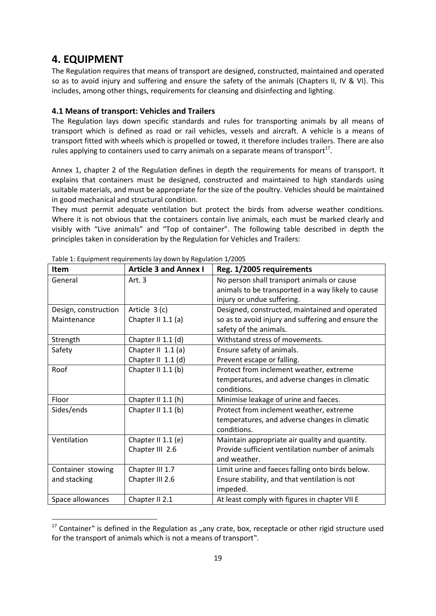### <span id="page-18-0"></span>**4. EQUIPMENT**

**.** 

The Regulation requires that means of transport are designed, constructed, maintained and operated so as to avoid injury and suffering and ensure the safety of the animals (Chapters II, IV & VI). This includes, among other things, requirements for cleansing and disinfecting and lighting.

#### <span id="page-18-1"></span>**4.1 Means of transport: Vehicles and Trailers**

The Regulation lays down specific standards and rules for transporting animals by all means of transport which is defined as road or rail vehicles, vessels and aircraft. A vehicle is a means of transport fitted with wheels which is propelled or towed, it therefore includes trailers. There are also rules applying to containers used to carry animals on a separate means of transport<sup>17</sup>.

Annex 1, chapter 2 of the Regulation defines in depth the requirements for means of transport. It explains that containers must be designed, constructed and maintained to high standards using suitable materials, and must be appropriate for the size of the poultry. Vehicles should be maintained in good mechanical and structural condition.

They must permit adequate ventilation but protect the birds from adverse weather conditions. Where it is not obvious that the containers contain live animals, each must be marked clearly and visibly with "Live animals" and "Top of container". The following table described in depth the principles taken in consideration by the Regulation for Vehicles and Trailers:

| <b>Item</b>          | <b>Article 3 and Annex I</b> | Reg. 1/2005 requirements                           |
|----------------------|------------------------------|----------------------------------------------------|
| General              | Art. $3$                     | No person shall transport animals or cause         |
|                      |                              | animals to be transported in a way likely to cause |
|                      |                              | injury or undue suffering.                         |
| Design, construction | Article 3 (c)                | Designed, constructed, maintained and operated     |
| Maintenance          | Chapter II 1.1 (a)           | so as to avoid injury and suffering and ensure the |
|                      |                              | safety of the animals.                             |
| Strength             | Chapter II 1.1 (d)           | Withstand stress of movements.                     |
| Safety               | Chapter II $1.1(a)$          | Ensure safety of animals.                          |
|                      | Chapter II 1.1 (d)           | Prevent escape or falling.                         |
| Roof                 | Chapter II 1.1 (b)           | Protect from inclement weather, extreme            |
|                      |                              | temperatures, and adverse changes in climatic      |
|                      |                              | conditions.                                        |
| Floor                | Chapter II 1.1 (h)           | Minimise leakage of urine and faeces.              |
| Sides/ends           | Chapter II 1.1 (b)           | Protect from inclement weather, extreme            |
|                      |                              | temperatures, and adverse changes in climatic      |
|                      |                              | conditions.                                        |
| Ventilation          | Chapter II 1.1 (e)           | Maintain appropriate air quality and quantity.     |
|                      | Chapter III 2.6              | Provide sufficient ventilation number of animals   |
|                      |                              | and weather.                                       |
| Container stowing    | Chapter III 1.7              | Limit urine and faeces falling onto birds below.   |
| and stacking         | Chapter III 2.6              | Ensure stability, and that ventilation is not      |
|                      |                              | impeded.                                           |
| Space allowances     | Chapter II 2.1               | At least comply with figures in chapter VII E      |

| Table 1: Equipment requirements lay down by Regulation 1/2005 |  |
|---------------------------------------------------------------|--|
|---------------------------------------------------------------|--|

 $17$  Container" is defined in the Regulation as "any crate, box, receptacle or other rigid structure used for the transport of animals which is not a means of transport".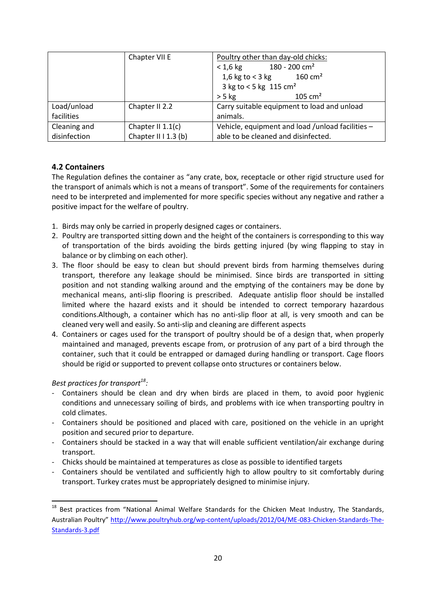|              | Chapter VII E        | Poultry other than day-old chicks:               |  |  |
|--------------|----------------------|--------------------------------------------------|--|--|
|              |                      | $180 - 200$ cm <sup>2</sup><br>$< 1.6$ kg        |  |  |
|              |                      | 1,6 kg to $<$ 3 kg<br>$160 \text{ cm}^2$         |  |  |
|              |                      | 3 kg to < 5 kg 115 $cm2$                         |  |  |
|              |                      | 105 $cm2$<br>$> 5$ kg                            |  |  |
| Load/unload  | Chapter II 2.2       | Carry suitable equipment to load and unload      |  |  |
| facilities   |                      | animals.                                         |  |  |
| Cleaning and | Chapter II $1.1(c)$  | Vehicle, equipment and load /unload facilities - |  |  |
| disinfection | Chapter II I 1.3 (b) | able to be cleaned and disinfected.              |  |  |

#### <span id="page-19-0"></span>**4.2 Containers**

The Regulation defines the container as "any crate, box, receptacle or other rigid structure used for the transport of animals which is not a means of transport". Some of the requirements for containers need to be interpreted and implemented for more specific species without any negative and rather a positive impact for the welfare of poultry.

- 1. Birds may only be carried in properly designed cages or containers.
- 2. Poultry are transported sitting down and the height of the containers is corresponding to this way of transportation of the birds avoiding the birds getting injured (by wing flapping to stay in balance or by climbing on each other).
- 3. The floor should be easy to clean but should prevent birds from harming themselves during transport, therefore any leakage should be minimised. Since birds are transported in sitting position and not standing walking around and the emptying of the containers may be done by mechanical means, anti-slip flooring is prescribed. Adequate antislip floor should be installed limited where the hazard exists and it should be intended to correct temporary hazardous conditions.Although, a container which has no anti-slip floor at all, is very smooth and can be cleaned very well and easily. So anti-slip and cleaning are different aspects
- 4. Containers or cages used for the transport of poultry should be of a design that, when properly maintained and managed, prevents escape from, or protrusion of any part of a bird through the container, such that it could be entrapped or damaged during handling or transport. Cage floors should be rigid or supported to prevent collapse onto structures or containers below.

*Best practices for transport<sup>18</sup> :*

 $\overline{a}$ 

- Containers should be clean and dry when birds are placed in them, to avoid poor hygienic conditions and unnecessary soiling of birds, and problems with ice when transporting poultry in cold climates.
- Containers should be positioned and placed with care, positioned on the vehicle in an upright position and secured prior to departure.
- Containers should be stacked in a way that will enable sufficient ventilation/air exchange during transport.
- Chicks should be maintained at temperatures as close as possible to identified targets
- Containers should be ventilated and sufficiently high to allow poultry to sit comfortably during transport. Turkey crates must be appropriately designed to minimise injury.

<sup>&</sup>lt;sup>18</sup> Best practices from "National Animal Welfare Standards for the Chicken Meat Industry, The Standards, Australian Poultry" [http://www.poultryhub.org/wp-content/uploads/2012/04/ME-083-Chicken-Standards-The-](http://www.poultryhub.org/wp-content/uploads/2012/04/ME-083-Chicken-Standards-The-Standards-3.pdf)[Standards-3.pdf](http://www.poultryhub.org/wp-content/uploads/2012/04/ME-083-Chicken-Standards-The-Standards-3.pdf)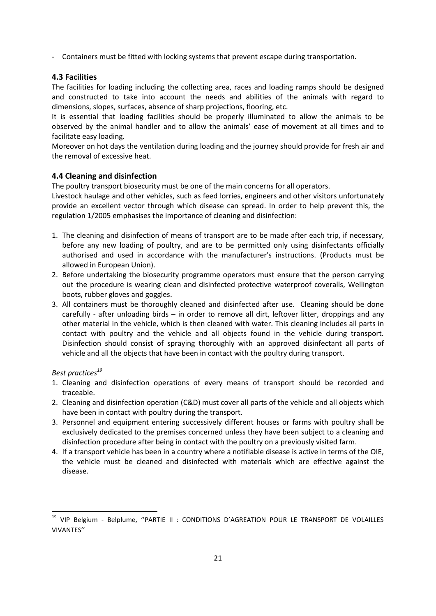- Containers must be fitted with locking systems that prevent escape during transportation.

#### <span id="page-20-0"></span>**4.3 Facilities**

The facilities for loading including the collecting area, races and loading ramps should be designed and constructed to take into account the needs and abilities of the animals with regard to dimensions, slopes, surfaces, absence of sharp projections, flooring, etc.

It is essential that loading facilities should be properly illuminated to allow the animals to be observed by the animal handler and to allow the animals' ease of movement at all times and to facilitate easy loading.

Moreover on hot days the ventilation during loading and the journey should provide for fresh air and the removal of excessive heat.

#### <span id="page-20-1"></span>**4.4 Cleaning and disinfection**

The poultry transport biosecurity must be one of the main concerns for all operators.

Livestock haulage and other vehicles, such as feed lorries, engineers and other visitors unfortunately provide an excellent vector through which disease can spread. In order to help prevent this, the regulation 1/2005 emphasises the importance of cleaning and disinfection:

- 1. The cleaning and disinfection of means of transport are to be made after each trip, if necessary, before any new loading of poultry, and are to be permitted only using disinfectants officially authorised and used in accordance with the manufacturer's instructions. (Products must be allowed in European Union).
- 2. Before undertaking the biosecurity programme operators must ensure that the person carrying out the procedure is wearing clean and disinfected protective waterproof coveralls, Wellington boots, rubber gloves and goggles.
- 3. All containers must be thoroughly cleaned and disinfected after use. Cleaning should be done carefully - after unloading birds – in order to remove all dirt, leftover litter, droppings and any other material in the vehicle, which is then cleaned with water. This cleaning includes all parts in contact with poultry and the vehicle and all objects found in the vehicle during transport. Disinfection should consist of spraying thoroughly with an approved disinfectant all parts of vehicle and all the objects that have been in contact with the poultry during transport.

#### *Best practices<sup>19</sup>*

**.** 

- 1. Cleaning and disinfection operations of every means of transport should be recorded and traceable.
- 2. Cleaning and disinfection operation (C&D) must cover all parts of the vehicle and all objects which have been in contact with poultry during the transport.
- 3. Personnel and equipment entering successively different houses or farms with poultry shall be exclusively dedicated to the premises concerned unless they have been subject to a cleaning and disinfection procedure after being in contact with the poultry on a previously visited farm.
- 4. If a transport vehicle has been in a country where a notifiable disease is active in terms of the OIE, the vehicle must be cleaned and disinfected with materials which are effective against the disease.

<sup>&</sup>lt;sup>19</sup> VIP Belgium - Belplume, "PARTIE II : CONDITIONS D'AGREATION POUR LE TRANSPORT DE VOLAILLES VIVANTES''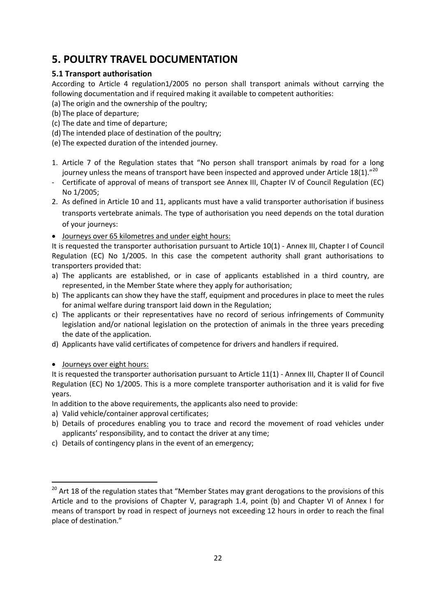# <span id="page-21-0"></span>**5. POULTRY TRAVEL DOCUMENTATION**

#### <span id="page-21-1"></span>**5.1 Transport authorisation**

According to Article 4 regulation1/2005 no person shall transport animals without carrying the following documentation and if required making it available to competent authorities:

- (a) The origin and the ownership of the poultry;
- (b) The place of departure;
- (c) The date and time of departure;
- (d) The intended place of destination of the poultry;
- (e) The expected duration of the intended journey.
- 1. Article 7 of the Regulation states that "No person shall transport animals by road for a long journey unless the means of transport have been inspected and approved under Article 18(1)."<sup>20</sup>
- Certificate of approval of means of transport see Annex III, Chapter IV of Council Regulation (EC) No 1/2005;
- 2. As defined in Article 10 and 11, applicants must have a valid transporter authorisation if business transports vertebrate animals. The type of authorisation you need depends on the total duration of your journeys:
- Journeys over 65 kilometres and under eight hours:

It is requested the transporter authorisation pursuant to Article 10(1) - Annex III, Chapter I of Council Regulation (EC) No 1/2005. In this case the competent authority shall grant authorisations to transporters provided that:

- a) The applicants are established, or in case of applicants established in a third country, are represented, in the Member State where they apply for authorisation;
- b) The applicants can show they have the staff, equipment and procedures in place to meet the rules for animal welfare during transport laid down in the Regulation;
- c) The applicants or their representatives have no record of serious infringements of Community legislation and/or national legislation on the protection of animals in the three years preceding the date of the application.
- d) Applicants have valid certificates of competence for drivers and handlers if required.
- Journeys over eight hours:

**.** 

It is requested the transporter authorisation pursuant to Article 11(1) - Annex III, Chapter II of Council Regulation (EC) No 1/2005. This is a more complete transporter authorisation and it is valid for five years.

In addition to the above requirements, the applicants also need to provide:

- a) Valid vehicle/container approval certificates;
- b) Details of procedures enabling you to trace and record the movement of road vehicles under applicants' responsibility, and to contact the driver at any time;
- c) Details of contingency plans in the event of an emergency;

<sup>&</sup>lt;sup>20</sup> Art 18 of the regulation states that "Member States may grant derogations to the provisions of this Article and to the provisions of Chapter V, paragraph 1.4, point (b) and Chapter VI of Annex I for means of transport by road in respect of journeys not exceeding 12 hours in order to reach the final place of destination."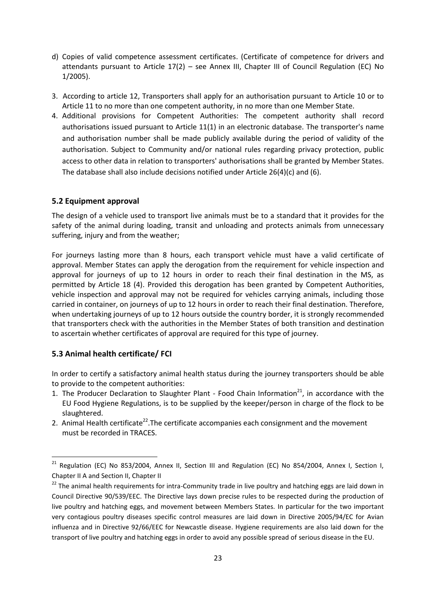- d) Copies of valid competence assessment certificates. (Certificate of competence for drivers and attendants pursuant to Article 17(2) – see Annex III, Chapter III of Council Regulation (EC) No 1/2005).
- 3. According to article 12, Transporters shall apply for an authorisation pursuant to Article 10 or to Article 11 to no more than one competent authority, in no more than one Member State.
- 4. Additional provisions for Competent Authorities: The competent authority shall record authorisations issued pursuant to Article 11(1) in an electronic database. The transporter's name and authorisation number shall be made publicly available during the period of validity of the authorisation. Subject to Community and/or national rules regarding privacy protection, public access to other data in relation to transporters' authorisations shall be granted by Member States. The database shall also include decisions notified under Article  $26(4)(c)$  and  $(6)$ .

#### <span id="page-22-0"></span>**5.2 Equipment approval**

The design of a vehicle used to transport live animals must be to a standard that it provides for the safety of the animal during loading, transit and unloading and protects animals from unnecessary suffering, injury and from the weather;

For journeys lasting more than 8 hours, each transport vehicle must have a valid certificate of approval. Member States can apply the derogation from the requirement for vehicle inspection and approval for journeys of up to 12 hours in order to reach their final destination in the MS, as permitted by Article 18 (4). Provided this derogation has been granted by Competent Authorities, vehicle inspection and approval may not be required for vehicles carrying animals, including those carried in container, on journeys of up to 12 hours in order to reach their final destination. Therefore, when undertaking journeys of up to 12 hours outside the country border, it is strongly recommended that transporters check with the authorities in the Member States of both transition and destination to ascertain whether certificates of approval are required for this type of journey.

#### <span id="page-22-1"></span>**5.3 Animal health certificate/ FCI**

**.** 

In order to certify a satisfactory animal health status during the journey transporters should be able to provide to the competent authorities:

- 1. The Producer Declaration to Slaughter Plant Food Chain Information $^{21}$ , in accordance with the EU Food Hygiene Regulations, is to be supplied by the keeper/person in charge of the flock to be slaughtered.
- 2. Animal Health certificate<sup>22</sup>. The certificate accompanies each consignment and the movement must be recorded in TRACES.

<sup>&</sup>lt;sup>21</sup> Regulation (EC) No 853/2004, Annex II, Section III and Regulation (EC) No 854/2004, Annex I, Section I, Chapter II A and Section II, Chapter II

<sup>&</sup>lt;sup>22</sup> The animal health requirements for intra-Community trade in live poultry and hatching eggs are laid down in Council Directive 90/539/EEC. The Directive lays down precise rules to be respected during the production of live poultry and hatching eggs, and movement between Members States. In particular for the two important very contagious poultry diseases specific control measures are laid down in Directive 2005/94/EC for Avian influenza and in Directive 92/66/EEC for Newcastle disease. Hygiene requirements are also laid down for the transport of live poultry and hatching eggs in order to avoid any possible spread of serious disease in the EU.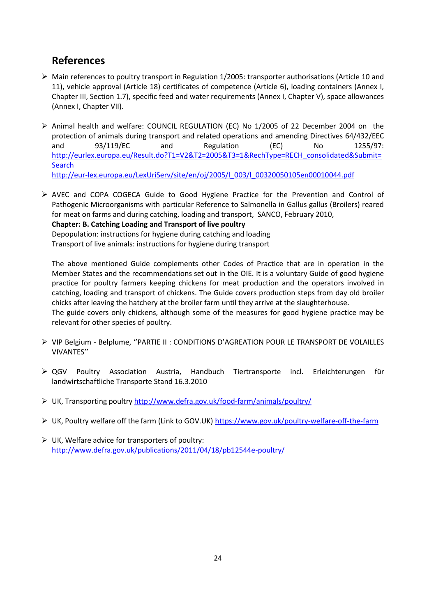## <span id="page-23-0"></span>**References**

- $\triangleright$  Main references to poultry transport in Regulation 1/2005: transporter authorisations (Article 10 and 11), vehicle approval (Article 18) certificates of competence (Article 6), loading containers (Annex I, Chapter III, Section 1.7), specific feed and water requirements (Annex I, Chapter V), space allowances (Annex I, Chapter VII).
- $\triangleright$  Animal health and welfare: COUNCIL REGULATION (EC) No 1/2005 of 22 December 2004 on the protection of animals during transport and related operations and amending Directives 64/432/EEC and 93/119/EC and Regulation (EC) No 1255/97: [http://eurlex.europa.eu/Result.do?T1=V2&T2=2005&T3=1&RechType=RECH\\_consolidated&Submit=](http://eurlex.europa.eu/Result.do?T1=V2&T2=2005&T3=1&RechType=RECH_consolidated&Submit=Search) **[Search](http://eurlex.europa.eu/Result.do?T1=V2&T2=2005&T3=1&RechType=RECH_consolidated&Submit=Search)** [http://eur-lex.europa.eu/LexUriServ/site/en/oj/2005/l\\_003/l\\_00320050105en00010044.pdf](http://eur-lex.europa.eu/LexUriServ/site/en/oj/2005/l_003/l_00320050105en00010044.pdf)
- $\triangleright$  AVEC and COPA COGECA Guide to Good Hygiene Practice for the Prevention and Control of Pathogenic Microorganisms with particular Reference to Salmonella in Gallus gallus (Broilers) reared for meat on farms and during catching, loading and transport, SANCO, February 2010, **Chapter: B. Catching Loading and Transport of live poultry**  Depopulation: instructions for hygiene during catching and loading Transport of live animals: instructions for hygiene during transport

The above mentioned Guide complements other Codes of Practice that are in operation in the Member States and the recommendations set out in the OIE. It is a voluntary Guide of good hygiene practice for poultry farmers keeping chickens for meat production and the operators involved in catching, loading and transport of chickens. The Guide covers production steps from day old broiler chicks after leaving the hatchery at the broiler farm until they arrive at the slaughterhouse.

The guide covers only chickens, although some of the measures for good hygiene practice may be relevant for other species of poultry.

- VIP Belgium Belplume, ''PARTIE II : CONDITIONS D'AGREATION POUR LE TRANSPORT DE VOLAILLES VIVANTES''
- QGV Poultry Association Austria, Handbuch Tiertransporte incl. Erleichterungen für landwirtschaftliche Transporte Stand 16.3.2010
- UK, Transporting poultry<http://www.defra.gov.uk/food-farm/animals/poultry/>
- ▶ UK, Poultry welfare off the farm (Link to GOV.UK[\) https://www.gov.uk/poultry-welfare-off-the-farm](https://www.gov.uk/poultry-welfare-off-the-farm)
- $\triangleright$  UK, Welfare advice for transporters of poultry: <http://www.defra.gov.uk/publications/2011/04/18/pb12544e-poultry/>